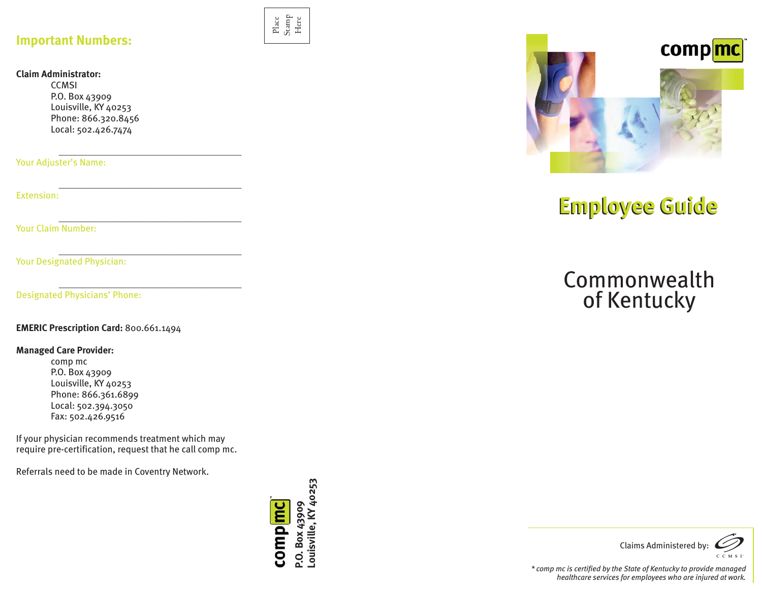## **Important Numbers:**

#### **Claim Administrator:**

**CCMSI** P.O. Box 43909 Louisville, KY 40253 Phone: 866.320.8456 Local: 502.426.7474

Your Adjuster's Name:

Extension:

Your Claim Number:

Your Designated Physician: Nour Designated Physician:

Designated Physicians' Phone:

**EMERIC Prescription Card:** 800.661.1494

#### **Managed Care Provider:**

comp mc P.O. Box 43909 Louisville, KY 40253 Phone: 866.361.6899 Local: 502.394.3050 Fax: 502.426.9516

If your physician recommends treatment which may require pre-certification, request that he call comp mc.

Referrals need to be made in Coventry Network.



Place Stamp Here



# **Employee Guide Employee Guide**

## Commonwealthof Kentucky



*\* comp mc is certified by the State of Kentucky to provide managed healthcare services for employees who are injured at work.*